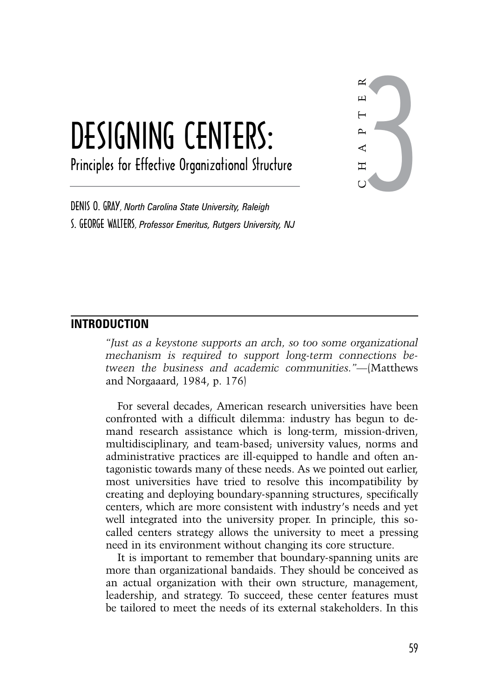# Designing centers: Principles for Effective Organizational Structure

3 C H A P T E R

Denis O. Gray, *North Carolina State University, Raleigh* S. George Walters, *Professor Emeritus, Rutgers University, NJ*

## **Introduction**

*"Just as a keystone supports an arch, so too some organizational mechanism is required to support long-term connections between the business and academic communities."—*(Matthews and Norgaaard, 1984, p. 176)

For several decades, American research universities have been confronted with a difficult dilemma: industry has begun to demand research assistance which is long-term, mission-driven, multidisciplinary, and team-based; university values, norms and administrative practices are ill-equipped to handle and often antagonistic towards many of these needs. As we pointed out earlier, most universities have tried to resolve this incompatibility by creating and deploying boundary-spanning structures, specifically centers, which are more consistent with industry's needs and yet well integrated into the university proper. In principle, this socalled centers strategy allows the university to meet a pressing need in its environment without changing its core structure.

It is important to remember that boundary-spanning units are more than organizational bandaids. They should be conceived as an actual organization with their own structure, management, leadership, and strategy. To succeed, these center features must be tailored to meet the needs of its external stakeholders. In this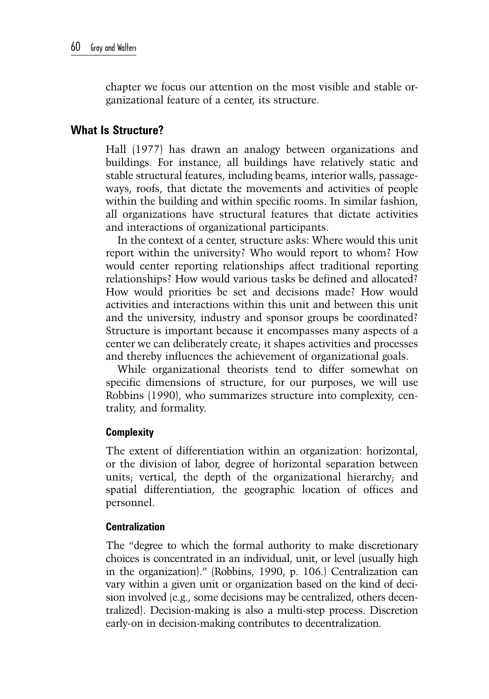chapter we focus our attention on the most visible and stable organizational feature of a center, its structure.

# **What Is Structure?**

Hall (1977) has drawn an analogy between organizations and buildings. For instance, all buildings have relatively static and stable structural features, including beams, interior walls, passageways, roofs, that dictate the movements and activities of people within the building and within specific rooms. In similar fashion, all organizations have structural features that dictate activities and interactions of organizational participants.

In the context of a center, structure asks: Where would this unit report within the university? Who would report to whom? How would center reporting relationships affect traditional reporting relationships? How would various tasks be defined and allocated? How would priorities be set and decisions made? How would activities and interactions within this unit and between this unit and the university, industry and sponsor groups be coordinated? Structure is important because it encompasses many aspects of a center we can deliberately create; it shapes activities and processes and thereby influences the achievement of organizational goals.

While organizational theorists tend to differ somewhat on specific dimensions of structure, for our purposes, we will use Robbins (1990), who summarizes structure into complexity, centrality, and formality.

## **Complexity**

The extent of differentiation within an organization: horizontal, or the division of labor, degree of horizontal separation between units; vertical, the depth of the organizational hierarchy; and spatial differentiation, the geographic location of offices and personnel.

### **Centralization**

The "degree to which the formal authority to make discretionary choices is concentrated in an individual, unit, or level (usually high in the organization)." (Robbins, 1990, p. 106.) Centralization can vary within a given unit or organization based on the kind of decision involved (e.g., some decisions may be centralized, others decentralized). Decision-making is also a multi-step process. Discretion early-on in decision-making contributes to decentralization.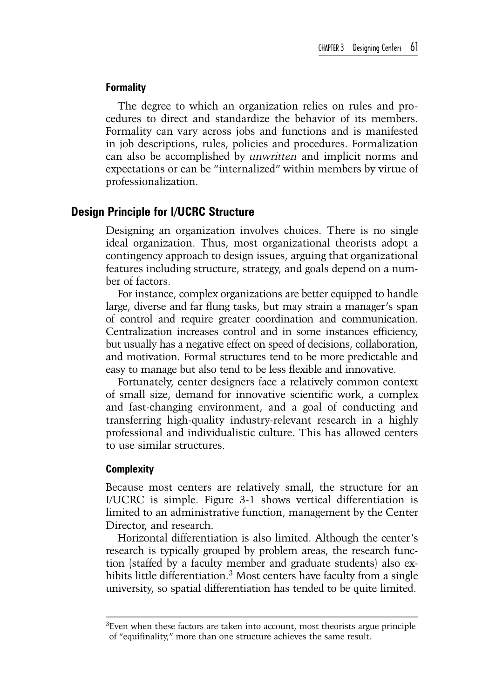#### **Formality**

The degree to which an organization relies on rules and procedures to direct and standardize the behavior of its members. Formality can vary across jobs and functions and is manifested in job descriptions, rules, policies and procedures. Formalization can also be accomplished by *unwritten* and implicit norms and expectations or can be "internalized" within members by virtue of professionalization.

## **Design Principle for I/UCRC Structure**

Designing an organization involves choices. There is no single ideal organization. Thus, most organizational theorists adopt a contingency approach to design issues, arguing that organizational features including structure, strategy, and goals depend on a number of factors.

For instance, complex organizations are better equipped to handle large, diverse and far flung tasks, but may strain a manager's span of control and require greater coordination and communication. Centralization increases control and in some instances efficiency, but usually has a negative effect on speed of decisions, collaboration, and motivation. Formal structures tend to be more predictable and easy to manage but also tend to be less flexible and innovative.

Fortunately, center designers face a relatively common context of small size, demand for innovative scientific work, a complex and fast-changing environment, and a goal of conducting and transferring high-quality industry-relevant research in a highly professional and individualistic culture. This has allowed centers to use similar structures.

#### **Complexity**

Because most centers are relatively small, the structure for an I/UCRC is simple. Figure 3-1 shows vertical differentiation is limited to an administrative function, management by the Center Director, and research.

Horizontal differentiation is also limited. Although the center's research is typically grouped by problem areas, the research function (staffed by a faculty member and graduate students) also exhibits little differentiation.<sup>3</sup> Most centers have faculty from a single university, so spatial differentiation has tended to be quite limited.

 ${}^{3}$ Even when these factors are taken into account, most theorists argue principle of "equifinality," more than one structure achieves the same result.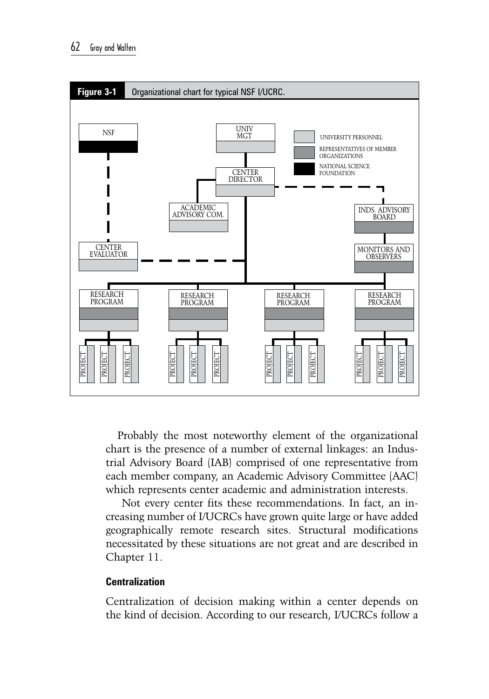

Probably the most noteworthy element of the organizational chart is the presence of a number of external linkages: an Industrial Advisory Board (IAB) comprised of one representative from each member company, an Academic Advisory Committee (AAC) which represents center academic and administration interests.

 Not every center fits these recommendations. In fact, an increasing number of I/UCRCs have grown quite large or have added geographically remote research sites. Structural modifications necessitated by these situations are not great and are described in Chapter 11.

## **Centralization**

Centralization of decision making within a center depends on the kind of decision. According to our research, I/UCRCs follow a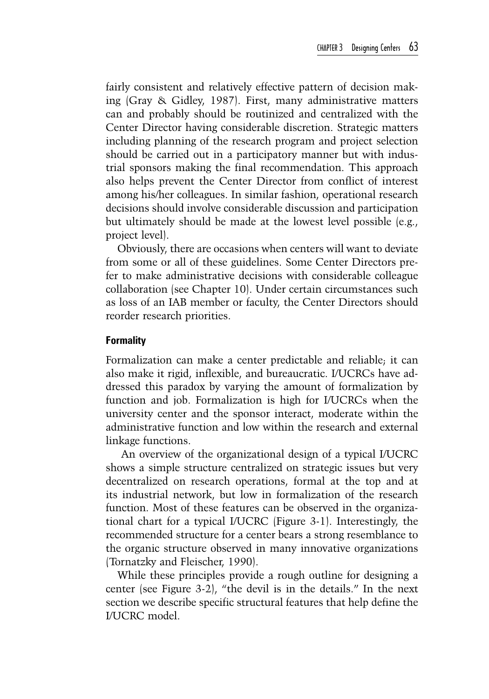fairly consistent and relatively effective pattern of decision making (Gray & Gidley, 1987). First, many administrative matters can and probably should be routinized and centralized with the Center Director having considerable discretion. Strategic matters including planning of the research program and project selection should be carried out in a participatory manner but with industrial sponsors making the final recommendation. This approach also helps prevent the Center Director from conflict of interest among his/her colleagues. In similar fashion, operational research decisions should involve considerable discussion and participation but ultimately should be made at the lowest level possible (e.g., project level).

Obviously, there are occasions when centers will want to deviate from some or all of these guidelines. Some Center Directors prefer to make administrative decisions with considerable colleague collaboration (see Chapter 10). Under certain circumstances such as loss of an IAB member or faculty, the Center Directors should reorder research priorities.

### **Formality**

Formalization can make a center predictable and reliable; it can also make it rigid, inflexible, and bureaucratic. I/UCRCs have addressed this paradox by varying the amount of formalization by function and job. Formalization is high for I/UCRCs when the university center and the sponsor interact, moderate within the administrative function and low within the research and external linkage functions.

 An overview of the organizational design of a typical I/UCRC shows a simple structure centralized on strategic issues but very decentralized on research operations, formal at the top and at its industrial network, but low in formalization of the research function. Most of these features can be observed in the organizational chart for a typical I/UCRC (Figure 3-1). Interestingly, the recommended structure for a center bears a strong resemblance to the organic structure observed in many innovative organizations (Tornatzky and Fleischer, 1990).

While these principles provide a rough outline for designing a center (see Figure 3-2), "the devil is in the details." In the next section we describe specific structural features that help define the I/UCRC model.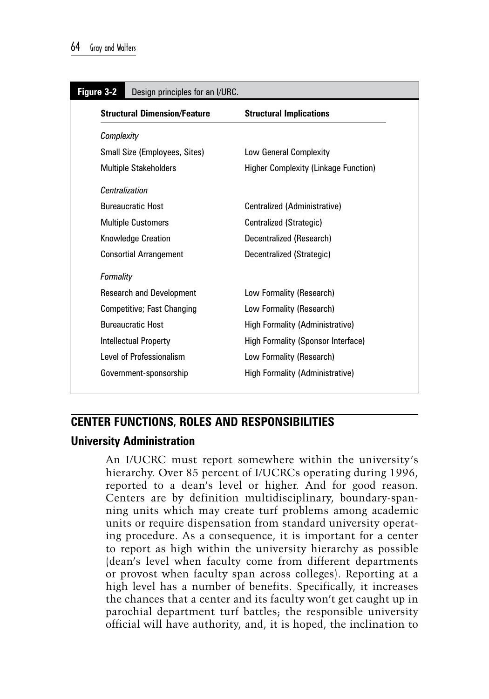| Figure 3-2<br>Design principles for an I/URC. |                                             |  |  |
|-----------------------------------------------|---------------------------------------------|--|--|
| <b>Structural Dimension/Feature</b>           | <b>Structural Implications</b>              |  |  |
| Complexity                                    |                                             |  |  |
| Small Size (Employees, Sites)                 | Low General Complexity                      |  |  |
| <b>Multiple Stakeholders</b>                  | <b>Higher Complexity (Linkage Function)</b> |  |  |
| Centralization                                |                                             |  |  |
| <b>Bureaucratic Host</b>                      | Centralized (Administrative)                |  |  |
| <b>Multiple Customers</b>                     | Centralized (Strategic)                     |  |  |
| Knowledge Creation                            | Decentralized (Research)                    |  |  |
| <b>Consortial Arrangement</b>                 | Decentralized (Strategic)                   |  |  |
| Formality                                     |                                             |  |  |
| <b>Research and Development</b>               | Low Formality (Research)                    |  |  |
| Competitive; Fast Changing                    | Low Formality (Research)                    |  |  |
| <b>Bureaucratic Host</b>                      | <b>High Formality (Administrative)</b>      |  |  |
| <b>Intellectual Property</b>                  | High Formality (Sponsor Interface)          |  |  |
| Level of Professionalism                      | Low Formality (Research)                    |  |  |
| Government-sponsorship                        | High Formality (Administrative)             |  |  |

## **Center Functions, Roles and Responsibilities**

## **University Administration**

An I/UCRC must report somewhere within the university's hierarchy. Over 85 percent of I/UCRCs operating during 1996, reported to a dean's level or higher. And for good reason. Centers are by definition multidisciplinary, boundary-spanning units which may create turf problems among academic units or require dispensation from standard university operating procedure. As a consequence, it is important for a center to report as high within the university hierarchy as possible (dean's level when faculty come from different departments or provost when faculty span across colleges). Reporting at a high level has a number of benefits. Specifically, it increases the chances that a center and its faculty won't get caught up in parochial department turf battles; the responsible university official will have authority, and, it is hoped, the inclination to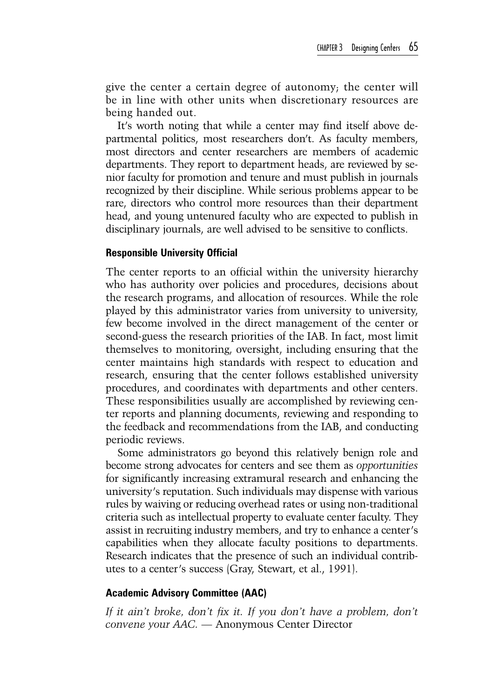give the center a certain degree of autonomy; the center will be in line with other units when discretionary resources are being handed out.

It's worth noting that while a center may find itself above departmental politics, most researchers don't. As faculty members, most directors and center researchers are members of academic departments. They report to department heads, are reviewed by senior faculty for promotion and tenure and must publish in journals recognized by their discipline. While serious problems appear to be rare, directors who control more resources than their department head, and young untenured faculty who are expected to publish in disciplinary journals, are well advised to be sensitive to conflicts.

#### **Responsible University Official**

The center reports to an official within the university hierarchy who has authority over policies and procedures, decisions about the research programs, and allocation of resources. While the role played by this administrator varies from university to university, few become involved in the direct management of the center or second-guess the research priorities of the IAB. In fact, most limit themselves to monitoring, oversight, including ensuring that the center maintains high standards with respect to education and research, ensuring that the center follows established university procedures, and coordinates with departments and other centers. These responsibilities usually are accomplished by reviewing center reports and planning documents, reviewing and responding to the feedback and recommendations from the IAB, and conducting periodic reviews.

Some administrators go beyond this relatively benign role and become strong advocates for centers and see them as *opportunities* for significantly increasing extramural research and enhancing the university's reputation. Such individuals may dispense with various rules by waiving or reducing overhead rates or using non-traditional criteria such as intellectual property to evaluate center faculty. They assist in recruiting industry members, and try to enhance a center's capabilities when they allocate faculty positions to departments. Research indicates that the presence of such an individual contributes to a center's success (Gray, Stewart, et al., 1991).

#### **Academic Advisory Committee (AAC)**

If it ain't broke, don't fix it. If you don't have a problem, don't *convene your AAC. —* Anonymous Center Director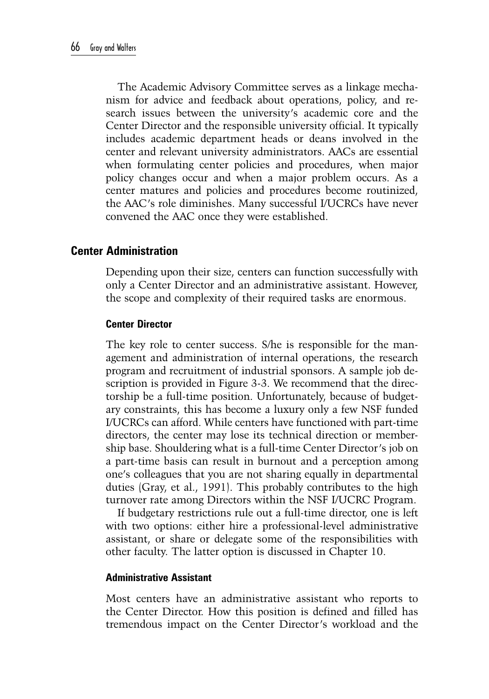The Academic Advisory Committee serves as a linkage mechanism for advice and feedback about operations, policy, and research issues between the university's academic core and the Center Director and the responsible university official. It typically includes academic department heads or deans involved in the center and relevant university administrators. AACs are essential when formulating center policies and procedures, when major policy changes occur and when a major problem occurs. As a center matures and policies and procedures become routinized, the AAC's role diminishes. Many successful I/UCRCs have never convened the AAC once they were established.

## **Center Administration**

Depending upon their size, centers can function successfully with only a Center Director and an administrative assistant. However, the scope and complexity of their required tasks are enormous.

### **Center Director**

The key role to center success. S/he is responsible for the management and administration of internal operations, the research program and recruitment of industrial sponsors. A sample job description is provided in Figure 3-3. We recommend that the directorship be a full-time position. Unfortunately, because of budgetary constraints, this has become a luxury only a few NSF funded I/UCRCs can afford. While centers have functioned with part-time directors, the center may lose its technical direction or membership base. Shouldering what is a full-time Center Director's job on a part-time basis can result in burnout and a perception among one's colleagues that you are not sharing equally in departmental duties (Gray, et al., 1991). This probably contributes to the high turnover rate among Directors within the NSF I/UCRC Program.

If budgetary restrictions rule out a full-time director, one is left with two options: either hire a professional-level administrative assistant, or share or delegate some of the responsibilities with other faculty. The latter option is discussed in Chapter 10.

### **Administrative Assistant**

Most centers have an administrative assistant who reports to the Center Director. How this position is defined and filled has tremendous impact on the Center Director's workload and the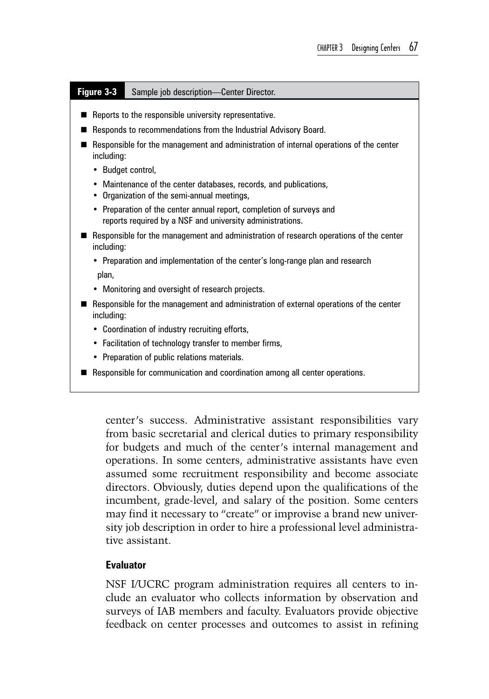#### **Figure 3-3** Sample job description—Center Director.

- $\blacksquare$  Reports to the responsible university representative.
- Responds to recommendations from the Industrial Advisory Board.
- Responsible for the management and administration of internal operations of the center including:
	- Budget control,
	- Maintenance of the center databases, records, and publications,
	- Organization of the semi-annual meetings,
	- Preparation of the center annual report, completion of surveys and reports required by a NSF and university administrations.
- **Responsible for the management and administration of research operations of the center** including:
	- Preparation and implementation of the center's long-range plan and research plan,
	- Monitoring and oversight of research projects.
- Responsible for the management and administration of external operations of the center including:
	- Coordination of industry recruiting efforts,
	- Facilitation of technology transfer to member firms,
	- Preparation of public relations materials.
- Responsible for communication and coordination among all center operations.

center's success. Administrative assistant responsibilities vary from basic secretarial and clerical duties to primary responsibility for budgets and much of the center's internal management and operations. In some centers, administrative assistants have even assumed some recruitment responsibility and become associate directors. Obviously, duties depend upon the qualifications of the incumbent, grade-level, and salary of the position. Some centers may find it necessary to "create" or improvise a brand new university job description in order to hire a professional level administrative assistant.

## **Evaluator**

NSF I/UCRC program administration requires all centers to include an evaluator who collects information by observation and surveys of IAB members and faculty. Evaluators provide objective feedback on center processes and outcomes to assist in refining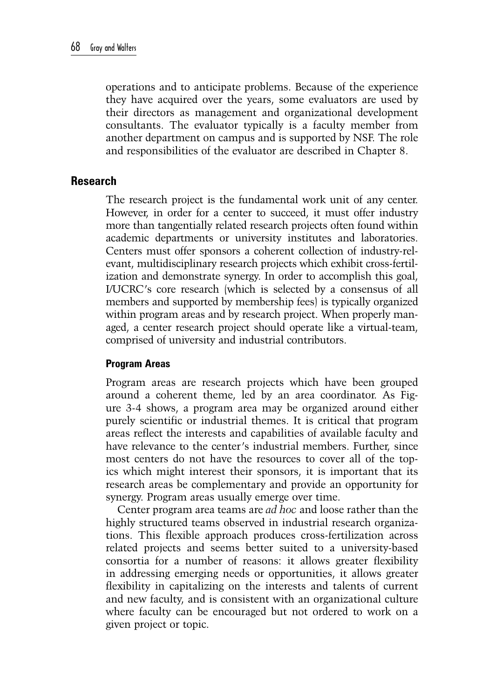operations and to anticipate problems. Because of the experience they have acquired over the years, some evaluators are used by their directors as management and organizational development consultants. The evaluator typically is a faculty member from another department on campus and is supported by NSF. The role and responsibilities of the evaluator are described in Chapter 8.

## **Research**

The research project is the fundamental work unit of any center. However, in order for a center to succeed, it must offer industry more than tangentially related research projects often found within academic departments or university institutes and laboratories. Centers must offer sponsors a coherent collection of industry-relevant, multidisciplinary research projects which exhibit cross-fertilization and demonstrate synergy. In order to accomplish this goal, I/UCRC's core research (which is selected by a consensus of all members and supported by membership fees) is typically organized within program areas and by research project. When properly managed, a center research project should operate like a virtual-team, comprised of university and industrial contributors.

## **Program Areas**

Program areas are research projects which have been grouped around a coherent theme, led by an area coordinator. As Figure 3-4 shows, a program area may be organized around either purely scientific or industrial themes. It is critical that program areas reflect the interests and capabilities of available faculty and have relevance to the center's industrial members. Further, since most centers do not have the resources to cover all of the topics which might interest their sponsors, it is important that its research areas be complementary and provide an opportunity for synergy. Program areas usually emerge over time.

Center program area teams are *ad hoc* and loose rather than the highly structured teams observed in industrial research organizations. This flexible approach produces cross-fertilization across related projects and seems better suited to a university-based consortia for a number of reasons: it allows greater flexibility in addressing emerging needs or opportunities, it allows greater flexibility in capitalizing on the interests and talents of current and new faculty, and is consistent with an organizational culture where faculty can be encouraged but not ordered to work on a given project or topic.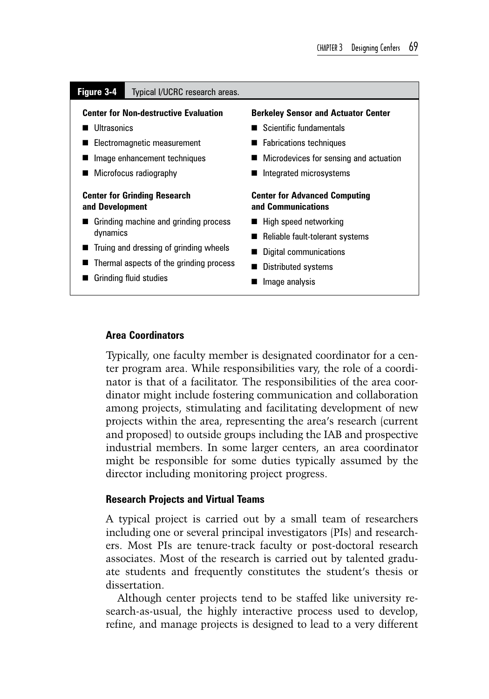#### **Figure 3-4** Typical I/UCRC research areas.

#### **Center for Non-destructive Evaluation**

- **Ultrasonics**
- Electromagnetic measurement
- **Image enhancement techniques**
- **Microfocus radiography**

#### **Center for Grinding Research and Development**

- Grinding machine and grinding process dynamics
- Truing and dressing of grinding wheels
- Thermal aspects of the grinding process
- Grinding fluid studies

#### **Berkeley Sensor and Actuator Center**

- Scientific fundamentals
- Fabrications techniques
- **Microdevices for sensing and actuation**
- Integrated microsystems

#### **Center for Advanced Computing and Communications**

- $\blacksquare$  High speed networking
- Reliable fault-tolerant systems
- Digital communications
- **Distributed systems**
- **Image analysis**

#### **Area Coordinators**

Typically, one faculty member is designated coordinator for a center program area. While responsibilities vary, the role of a coordinator is that of a facilitator. The responsibilities of the area coordinator might include fostering communication and collaboration among projects, stimulating and facilitating development of new projects within the area, representing the area's research (current and proposed) to outside groups including the IAB and prospective industrial members. In some larger centers, an area coordinator might be responsible for some duties typically assumed by the director including monitoring project progress.

#### **Research Projects and Virtual Teams**

A typical project is carried out by a small team of researchers including one or several principal investigators (PIs) and researchers. Most PIs are tenure-track faculty or post-doctoral research associates. Most of the research is carried out by talented graduate students and frequently constitutes the student's thesis or dissertation.

Although center projects tend to be staffed like university research-as-usual, the highly interactive process used to develop, refine, and manage projects is designed to lead to a very different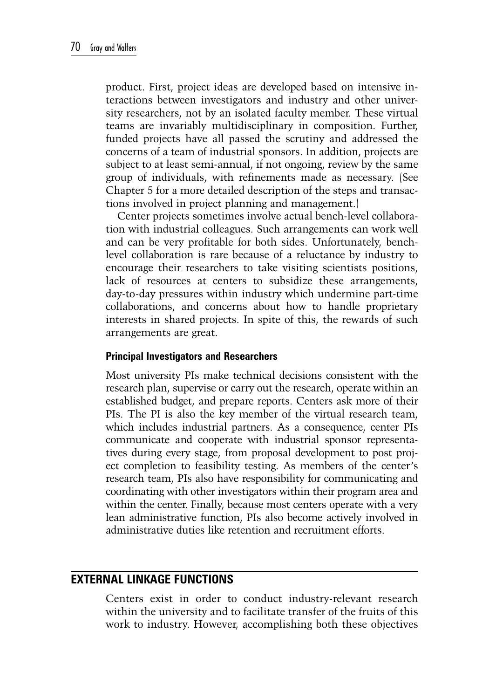product. First, project ideas are developed based on intensive interactions between investigators and industry and other university researchers, not by an isolated faculty member. These virtual teams are invariably multidisciplinary in composition. Further, funded projects have all passed the scrutiny and addressed the concerns of a team of industrial sponsors. In addition, projects are subject to at least semi-annual, if not ongoing, review by the same group of individuals, with refinements made as necessary. (See Chapter 5 for a more detailed description of the steps and transactions involved in project planning and management.)

Center projects sometimes involve actual bench-level collaboration with industrial colleagues. Such arrangements can work well and can be very profitable for both sides. Unfortunately, benchlevel collaboration is rare because of a reluctance by industry to encourage their researchers to take visiting scientists positions, lack of resources at centers to subsidize these arrangements, day-to-day pressures within industry which undermine part-time collaborations, and concerns about how to handle proprietary interests in shared projects. In spite of this, the rewards of such arrangements are great.

## **Principal Investigators and Researchers**

Most university PIs make technical decisions consistent with the research plan, supervise or carry out the research, operate within an established budget, and prepare reports. Centers ask more of their PIs. The PI is also the key member of the virtual research team, which includes industrial partners. As a consequence, center PIs communicate and cooperate with industrial sponsor representatives during every stage, from proposal development to post project completion to feasibility testing. As members of the center's research team, PIs also have responsibility for communicating and coordinating with other investigators within their program area and within the center. Finally, because most centers operate with a very lean administrative function, PIs also become actively involved in administrative duties like retention and recruitment efforts.

## **External Linkage Functions**

Centers exist in order to conduct industry-relevant research within the university and to facilitate transfer of the fruits of this work to industry. However, accomplishing both these objectives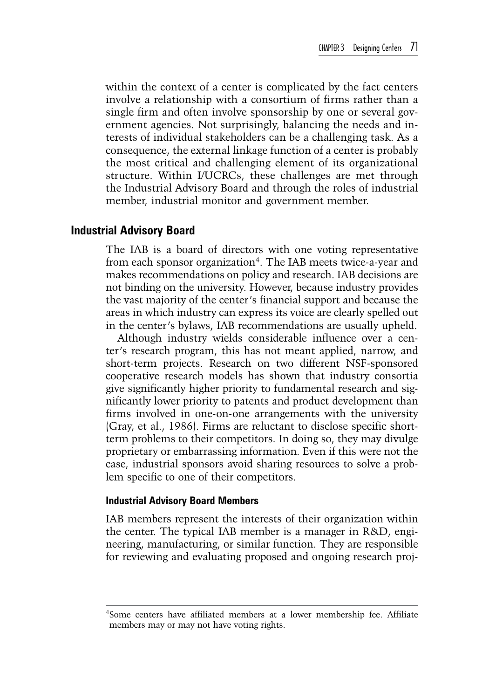within the context of a center is complicated by the fact centers involve a relationship with a consortium of firms rather than a single firm and often involve sponsorship by one or several government agencies. Not surprisingly, balancing the needs and interests of individual stakeholders can be a challenging task. As a consequence, the external linkage function of a center is probably the most critical and challenging element of its organizational structure. Within I/UCRCs, these challenges are met through the Industrial Advisory Board and through the roles of industrial member, industrial monitor and government member.

### **Industrial Advisory Board**

The IAB is a board of directors with one voting representative from each sponsor organization<sup>4</sup>. The IAB meets twice-a-year and makes recommendations on policy and research. IAB decisions are not binding on the university. However, because industry provides the vast majority of the center's financial support and because the areas in which industry can express its voice are clearly spelled out in the center's bylaws, IAB recommendations are usually upheld.

Although industry wields considerable influence over a center's research program, this has not meant applied, narrow, and short-term projects. Research on two different NSF-sponsored cooperative research models has shown that industry consortia give significantly higher priority to fundamental research and significantly lower priority to patents and product development than firms involved in one-on-one arrangements with the university (Gray, et al., 1986). Firms are reluctant to disclose specific shortterm problems to their competitors. In doing so, they may divulge proprietary or embarrassing information. Even if this were not the case, industrial sponsors avoid sharing resources to solve a problem specific to one of their competitors.

#### **Industrial Advisory Board Members**

IAB members represent the interests of their organization within the center. The typical IAB member is a manager in R&D, engineering, manufacturing, or similar function. They are responsible for reviewing and evaluating proposed and ongoing research proj-

<sup>4</sup>Some centers have affiliated members at a lower membership fee. Affiliate members may or may not have voting rights.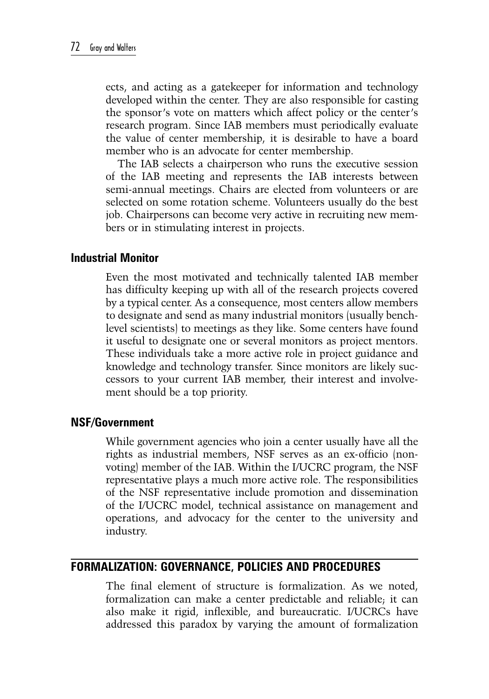ects, and acting as a gatekeeper for information and technology developed within the center. They are also responsible for casting the sponsor's vote on matters which affect policy or the center's research program. Since IAB members must periodically evaluate the value of center membership, it is desirable to have a board member who is an advocate for center membership.

The IAB selects a chairperson who runs the executive session of the IAB meeting and represents the IAB interests between semi-annual meetings. Chairs are elected from volunteers or are selected on some rotation scheme. Volunteers usually do the best job. Chairpersons can become very active in recruiting new members or in stimulating interest in projects.

## **Industrial Monitor**

Even the most motivated and technically talented IAB member has difficulty keeping up with all of the research projects covered by a typical center. As a consequence, most centers allow members to designate and send as many industrial monitors (usually benchlevel scientists) to meetings as they like. Some centers have found it useful to designate one or several monitors as project mentors. These individuals take a more active role in project guidance and knowledge and technology transfer. Since monitors are likely successors to your current IAB member, their interest and involvement should be a top priority.

## **NSF/Government**

While government agencies who join a center usually have all the rights as industrial members, NSF serves as an ex-officio (nonvoting) member of the IAB. Within the I/UCRC program, the NSF representative plays a much more active role. The responsibilities of the NSF representative include promotion and dissemination of the I/UCRC model, technical assistance on management and operations, and advocacy for the center to the university and industry.

# **Formalization: Governance, Policies and Procedures**

The final element of structure is formalization. As we noted, formalization can make a center predictable and reliable; it can also make it rigid, inflexible, and bureaucratic. I/UCRCs have addressed this paradox by varying the amount of formalization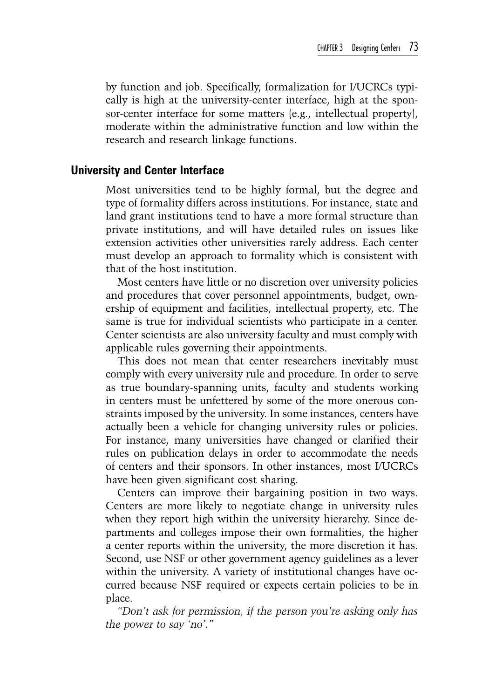by function and job. Specifically, formalization for I/UCRCs typically is high at the university-center interface, high at the sponsor-center interface for some matters (e.g., intellectual property), moderate within the administrative function and low within the research and research linkage functions.

## **University and Center Interface**

Most universities tend to be highly formal, but the degree and type of formality differs across institutions. For instance, state and land grant institutions tend to have a more formal structure than private institutions, and will have detailed rules on issues like extension activities other universities rarely address. Each center must develop an approach to formality which is consistent with that of the host institution.

Most centers have little or no discretion over university policies and procedures that cover personnel appointments, budget, ownership of equipment and facilities, intellectual property, etc. The same is true for individual scientists who participate in a center. Center scientists are also university faculty and must comply with applicable rules governing their appointments.

This does not mean that center researchers inevitably must comply with every university rule and procedure. In order to serve as true boundary-spanning units, faculty and students working in centers must be unfettered by some of the more onerous constraints imposed by the university. In some instances, centers have actually been a vehicle for changing university rules or policies. For instance, many universities have changed or clarified their rules on publication delays in order to accommodate the needs of centers and their sponsors. In other instances, most I/UCRCs have been given significant cost sharing.

Centers can improve their bargaining position in two ways. Centers are more likely to negotiate change in university rules when they report high within the university hierarchy. Since departments and colleges impose their own formalities, the higher a center reports within the university, the more discretion it has. Second, use NSF or other government agency guidelines as a lever within the university. A variety of institutional changes have occurred because NSF required or expects certain policies to be in place.

*"Don't ask for permission, if the person you're asking only has the power to say 'no'."*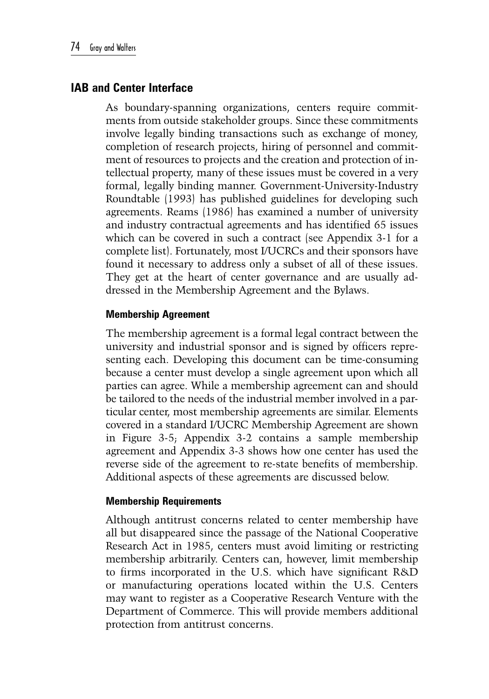# **IAB and Center Interface**

As boundary-spanning organizations, centers require commitments from outside stakeholder groups. Since these commitments involve legally binding transactions such as exchange of money, completion of research projects, hiring of personnel and commitment of resources to projects and the creation and protection of intellectual property, many of these issues must be covered in a very formal, legally binding manner. Government-University-Industry Roundtable (1993) has published guidelines for developing such agreements. Reams (1986) has examined a number of university and industry contractual agreements and has identified 65 issues which can be covered in such a contract (see Appendix 3-1 for a complete list). Fortunately, most I/UCRCs and their sponsors have found it necessary to address only a subset of all of these issues. They get at the heart of center governance and are usually addressed in the Membership Agreement and the Bylaws.

## **Membership Agreement**

The membership agreement is a formal legal contract between the university and industrial sponsor and is signed by officers representing each. Developing this document can be time-consuming because a center must develop a single agreement upon which all parties can agree. While a membership agreement can and should be tailored to the needs of the industrial member involved in a particular center, most membership agreements are similar. Elements covered in a standard I/UCRC Membership Agreement are shown in Figure 3-5; Appendix 3-2 contains a sample membership agreement and Appendix 3-3 shows how one center has used the reverse side of the agreement to re-state benefits of membership. Additional aspects of these agreements are discussed below.

## **Membership Requirements**

Although antitrust concerns related to center membership have all but disappeared since the passage of the National Cooperative Research Act in 1985, centers must avoid limiting or restricting membership arbitrarily. Centers can, however, limit membership to firms incorporated in the U.S. which have significant R&D or manufacturing operations located within the U.S. Centers may want to register as a Cooperative Research Venture with the Department of Commerce. This will provide members additional protection from antitrust concerns.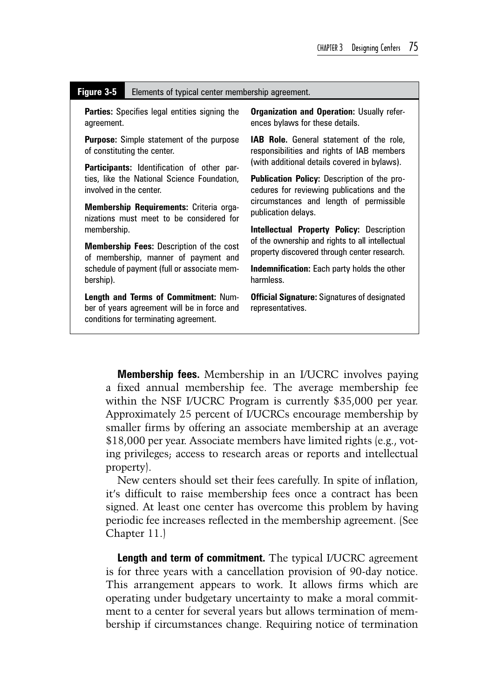#### **Figure 3-5** Elements of typical center membership agreement.

**Parties:** Specifies legal entities signing the agreement.

**Purpose:** Simple statement of the purpose of constituting the center.

**Participants:** Identification of other parties, like the National Science Foundation, involved in the center.

**Membership Requirements:** Criteria organizations must meet to be considered for membership.

**Membership Fees:** Description of the cost of membership, manner of payment and schedule of payment (full or associate membership).

**Length and Terms of Commitment:** Number of years agreement will be in force and conditions for terminating agreement.

**Organization and Operation:** Usually references bylaws for these details.

**IAB Role.** General statement of the role, responsibilities and rights of IAB members (with additional details covered in bylaws).

**Publication Policy:** Description of the procedures for reviewing publications and the circumstances and length of permissible publication delays.

**Intellectual Property Policy:** Description of the ownership and rights to all intellectual property discovered through center research.

**Indemnification:** Each party holds the other harmless.

**Official Signature:** Signatures of designated representatives.

**Membership fees.** Membership in an I/UCRC involves paying a fixed annual membership fee. The average membership fee within the NSF I/UCRC Program is currently \$35,000 per year. Approximately 25 percent of I/UCRCs encourage membership by smaller firms by offering an associate membership at an average \$18,000 per year. Associate members have limited rights (e.g., voting privileges; access to research areas or reports and intellectual property).

New centers should set their fees carefully. In spite of inflation, it's difficult to raise membership fees once a contract has been signed. At least one center has overcome this problem by having periodic fee increases reflected in the membership agreement. (See Chapter 11.)

**Length and term of commitment.** The typical I/UCRC agreement is for three years with a cancellation provision of 90-day notice. This arrangement appears to work. It allows firms which are operating under budgetary uncertainty to make a moral commitment to a center for several years but allows termination of membership if circumstances change. Requiring notice of termination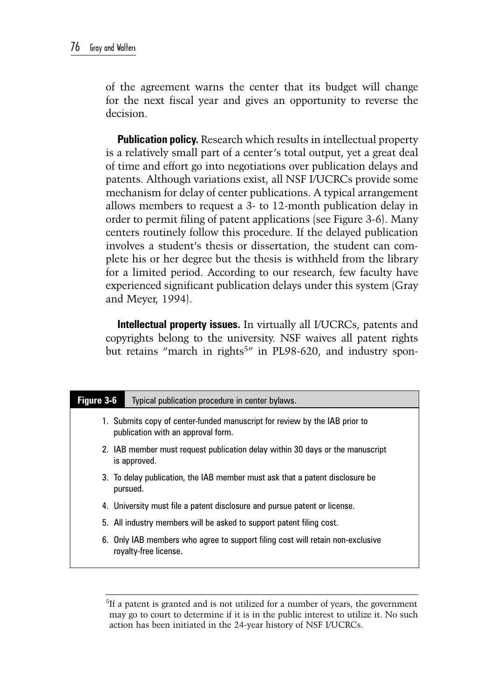of the agreement warns the center that its budget will change for the next fiscal year and gives an opportunity to reverse the decision.

**Publication policy.** Research which results in intellectual property is a relatively small part of a center's total output, yet a great deal of time and effort go into negotiations over publication delays and patents. Although variations exist, all NSF I/UCRCs provide some mechanism for delay of center publications. A typical arrangement allows members to request a 3- to 12-month publication delay in order to permit filing of patent applications (see Figure 3-6). Many centers routinely follow this procedure. If the delayed publication involves a student's thesis or dissertation, the student can complete his or her degree but the thesis is withheld from the library for a limited period. According to our research, few faculty have experienced significant publication delays under this system (Gray and Meyer, 1994).

**Intellectual property issues.** In virtually all I/UCRCs, patents and copyrights belong to the university. NSF waives all patent rights but retains "march in rights<sup>5</sup>" in PL98-620, and industry spon-

| Figure 3-6 | Typical publication procedure in center bylaws.                                                                  |
|------------|------------------------------------------------------------------------------------------------------------------|
|            | 1. Submits copy of center-funded manuscript for review by the IAB prior to<br>publication with an approval form. |
|            | 2. IAB member must request publication delay within 30 days or the manuscript<br>is approved.                    |
|            | 3. To delay publication, the IAB member must ask that a patent disclosure be<br>pursued.                         |
|            | 4. University must file a patent disclosure and pursue patent or license.                                        |
|            | 5. All industry members will be asked to support patent filing cost.                                             |
|            | 6. Only IAB members who agree to support filing cost will retain non-exclusive<br>royalty-free license.          |

5If a patent is granted and is not utilized for a number of years, the government may go to court to determine if it is in the public interest to utilize it. No such action has been initiated in the 24-year history of NSF I/UCRCs.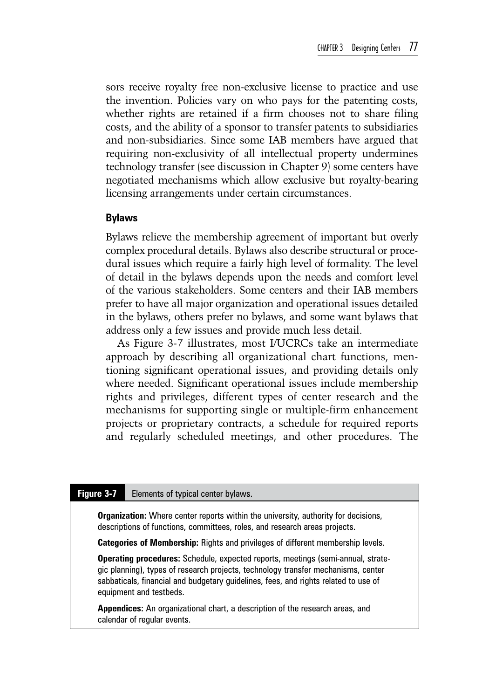sors receive royalty free non-exclusive license to practice and use the invention. Policies vary on who pays for the patenting costs, whether rights are retained if a firm chooses not to share filing costs, and the ability of a sponsor to transfer patents to subsidiaries and non-subsidiaries. Since some IAB members have argued that requiring non-exclusivity of all intellectual property undermines technology transfer (see discussion in Chapter 9) some centers have negotiated mechanisms which allow exclusive but royalty-bearing licensing arrangements under certain circumstances.

## **Bylaws**

Bylaws relieve the membership agreement of important but overly complex procedural details. Bylaws also describe structural or procedural issues which require a fairly high level of formality. The level of detail in the bylaws depends upon the needs and comfort level of the various stakeholders. Some centers and their IAB members prefer to have all major organization and operational issues detailed in the bylaws, others prefer no bylaws, and some want bylaws that address only a few issues and provide much less detail.

As Figure 3-7 illustrates, most I/UCRCs take an intermediate approach by describing all organizational chart functions, mentioning significant operational issues, and providing details only where needed. Significant operational issues include membership rights and privileges, different types of center research and the mechanisms for supporting single or multiple-firm enhancement projects or proprietary contracts, a schedule for required reports and regularly scheduled meetings, and other procedures. The

#### **Figure 3-7** Elements of typical center bylaws.

**Organization:** Where center reports within the university, authority for decisions, descriptions of functions, committees, roles, and research areas projects.

**Categories of Membership:** Rights and privileges of different membership levels.

**Operating procedures:** Schedule, expected reports, meetings (semi-annual, strategic planning), types of research projects, technology transfer mechanisms, center sabbaticals, financial and budgetary guidelines, fees, and rights related to use of equipment and testbeds.

**Appendices:** An organizational chart, a description of the research areas, and calendar of regular events.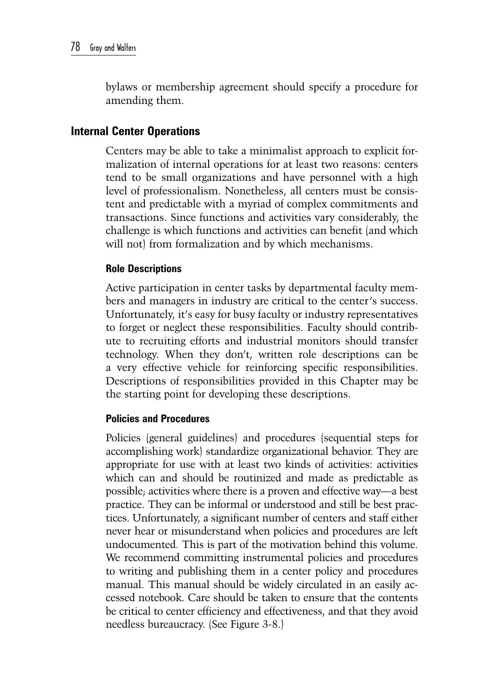bylaws or membership agreement should specify a procedure for amending them.

# **Internal Center Operations**

Centers may be able to take a minimalist approach to explicit formalization of internal operations for at least two reasons: centers tend to be small organizations and have personnel with a high level of professionalism. Nonetheless, all centers must be consistent and predictable with a myriad of complex commitments and transactions. Since functions and activities vary considerably, the challenge is which functions and activities can benefit (and which will not) from formalization and by which mechanisms.

## **Role Descriptions**

Active participation in center tasks by departmental faculty members and managers in industry are critical to the center's success. Unfortunately, it's easy for busy faculty or industry representatives to forget or neglect these responsibilities. Faculty should contribute to recruiting efforts and industrial monitors should transfer technology. When they don't, written role descriptions can be a very effective vehicle for reinforcing specific responsibilities. Descriptions of responsibilities provided in this Chapter may be the starting point for developing these descriptions.

## **Policies and Procedures**

Policies (general guidelines) and procedures (sequential steps for accomplishing work) standardize organizational behavior. They are appropriate for use with at least two kinds of activities: activities which can and should be routinized and made as predictable as possible; activities where there is a proven and effective way—a best practice. They can be informal or understood and still be best practices. Unfortunately, a significant number of centers and staff either never hear or misunderstand when policies and procedures are left undocumented. This is part of the motivation behind this volume. We recommend committing instrumental policies and procedures to writing and publishing them in a center policy and procedures manual. This manual should be widely circulated in an easily accessed notebook. Care should be taken to ensure that the contents be critical to center efficiency and effectiveness, and that they avoid needless bureaucracy. (See Figure 3-8.)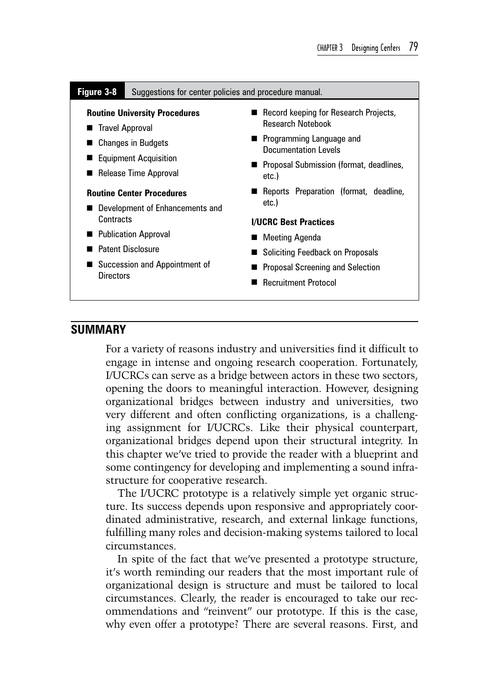#### **Figure 3-8** Suggestions for center policies and procedure manual.

#### **Routine University Procedures**

- Travel Approval
- Changes in Budgets
- Equipment Acquisition
- Release Time Approval

#### **Routine Center Procedures**

- Development of Enhancements and **Contracts**
- **Publication Approval**
- **Patent Disclosure**
- Succession and Appointment of **Directors**
- Record keeping for Research Projects, Research Notebook
- **Programming Language and** Documentation Levels
- **Proposal Submission (format, deadlines,** etc.)
- Reports Preparation (format, deadline, etc.)

#### **I/UCRC Best Practices**

- **Meeting Agenda**
- Soliciting Feedback on Proposals
- **Proposal Screening and Selection**
- Recruitment Protocol

#### **Summary**

For a variety of reasons industry and universities find it difficult to engage in intense and ongoing research cooperation. Fortunately, I/UCRCs can serve as a bridge between actors in these two sectors, opening the doors to meaningful interaction. However, designing organizational bridges between industry and universities, two very different and often conflicting organizations, is a challenging assignment for I/UCRCs. Like their physical counterpart, organizational bridges depend upon their structural integrity. In this chapter we've tried to provide the reader with a blueprint and some contingency for developing and implementing a sound infrastructure for cooperative research.

The I/UCRC prototype is a relatively simple yet organic structure. Its success depends upon responsive and appropriately coordinated administrative, research, and external linkage functions, fulfilling many roles and decision-making systems tailored to local circumstances.

In spite of the fact that we've presented a prototype structure, it's worth reminding our readers that the most important rule of organizational design is structure and must be tailored to local circumstances. Clearly, the reader is encouraged to take our recommendations and "reinvent" our prototype. If this is the case, why even offer a prototype? There are several reasons. First, and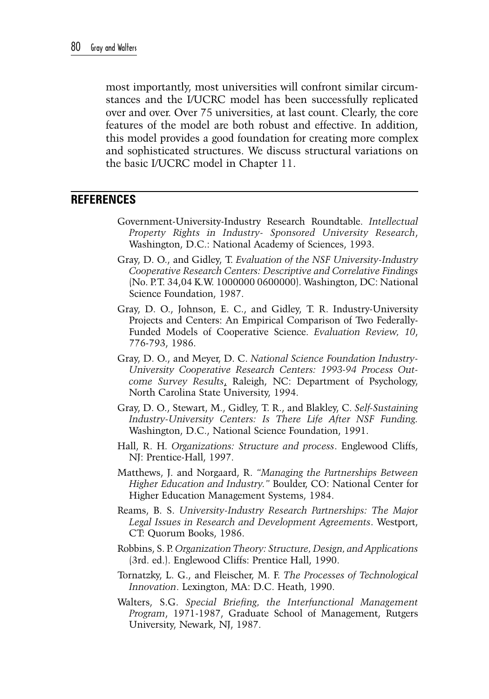most importantly, most universities will confront similar circumstances and the I/UCRC model has been successfully replicated over and over. Over 75 universities, at last count. Clearly, the core features of the model are both robust and effective. In addition, this model provides a good foundation for creating more complex and sophisticated structures. We discuss structural variations on the basic I/UCRC model in Chapter 11.

## **References**

- Government-University-Industry Research Roundtable. *Intellectual Property Rights in Industry- Sponsored University Research*, Washington, D.C.: National Academy of Sciences, 1993.
- Gray, D. O., and Gidley, T. *Evaluation of the NSF University-Industry Cooperative Research Centers: Descriptive and Correlative Findings* (No. P.T. 34,04 K.W. 1000000 0600000). Washington, DC: National Science Foundation, 1987.
- Gray, D. O., Johnson, E. C., and Gidley, T. R. Industry-University Projects and Centers: An Empirical Comparison of Two Federally-Funded Models of Cooperative Science. *Evaluation Review, 10*, 776-793, 1986.
- Gray, D. O., and Meyer, D. C. *National Science Foundation Industry-University Cooperative Research Centers: 1993-94 Process Outcome Survey Results*, Raleigh, NC: Department of Psychology, North Carolina State University, 1994.
- Gray, D. O., Stewart, M., Gidley, T. R., and Blakley, C. *Self-Sustaining Industry-University Centers: Is There Life After NSF Funding.*  Washington, D.C., National Science Foundation, 1991.
- Hall, R. H. *Organizations: Structure and process*. Englewood Cliffs, NJ: Prentice-Hall, 1997.
- Matthews, J. and Norgaard, R. *"Managing the Partnerships Between Higher Education and Industry."* Boulder, CO: National Center for Higher Education Management Systems, 1984.
- Reams, B. S. *University-Industry Research Partnerships: The Major Legal Issues in Research and Development Agreements*. Westport, CT: Quorum Books, 1986.
- Robbins, S. P. *Organization Theory: Structure, Design, and Applications* (3rd. ed.). Englewood Cliffs: Prentice Hall, 1990.
- Tornatzky, L. G., and Fleischer, M. F. *The Processes of Technological Innovation*. Lexington, MA: D.C. Heath, 1990.
- Walters, S.G. *Special Briefing, the Interfunctional Management Program*, 1971-1987, Graduate School of Management, Rutgers University, Newark, NJ, 1987.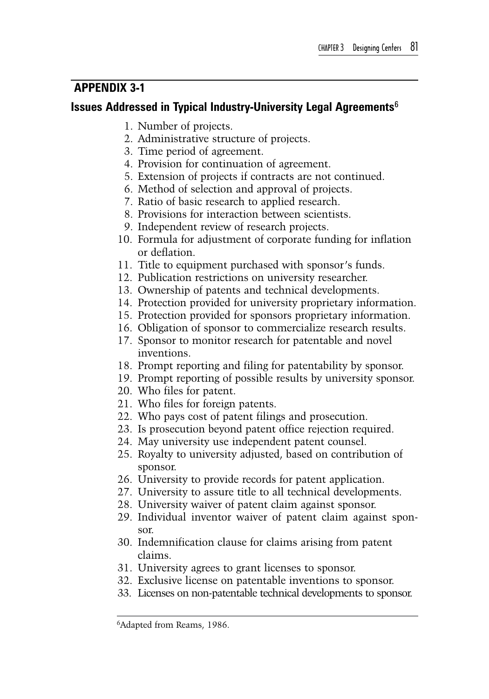# **Appendix 3-1**

# **Issues Addressed in Typical Industry-University Legal Agreements**<sup>6</sup>

- 1. Number of projects.
- 2. Administrative structure of projects.
- 3. Time period of agreement.
- 4. Provision for continuation of agreement.
- 5. Extension of projects if contracts are not continued.
- 6. Method of selection and approval of projects.
- 7. Ratio of basic research to applied research.
- 8. Provisions for interaction between scientists.
- 9. Independent review of research projects.
- 10. Formula for adjustment of corporate funding for inflation or deflation.
- 11. Title to equipment purchased with sponsor's funds.
- 12. Publication restrictions on university researcher.
- 13. Ownership of patents and technical developments.
- 14. Protection provided for university proprietary information.
- 15. Protection provided for sponsors proprietary information.
- 16. Obligation of sponsor to commercialize research results.
- 17. Sponsor to monitor research for patentable and novel inventions.
- 18. Prompt reporting and filing for patentability by sponsor.
- 19. Prompt reporting of possible results by university sponsor.
- 20. Who files for patent.
- 21. Who files for foreign patents.
- 22. Who pays cost of patent filings and prosecution.
- 23. Is prosecution beyond patent office rejection required.
- 24. May university use independent patent counsel.
- 25. Royalty to university adjusted, based on contribution of sponsor.
- 26. University to provide records for patent application.
- 27. University to assure title to all technical developments.
- 28. University waiver of patent claim against sponsor.
- 29. Individual inventor waiver of patent claim against sponsor.
- 30. Indemnification clause for claims arising from patent claims.
- 31. University agrees to grant licenses to sponsor.
- 32. Exclusive license on patentable inventions to sponsor.
- 33. Licenses on non-patentable technical developments to sponsor.

<sup>6</sup>Adapted from Reams, 1986.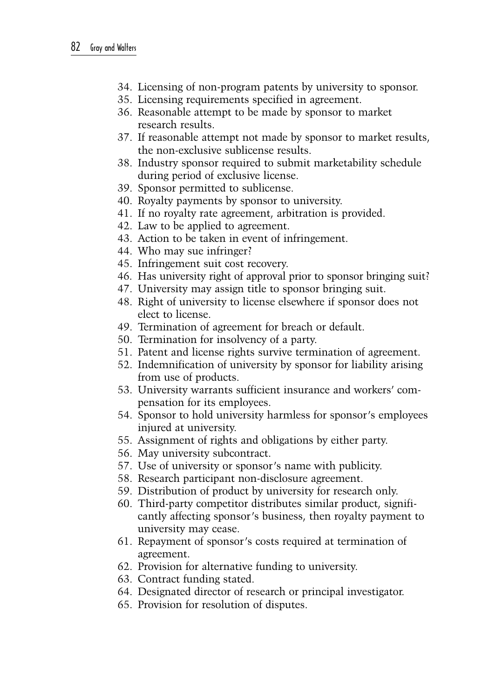- 34. Licensing of non-program patents by university to sponsor.
- 35. Licensing requirements specified in agreement.
- 36. Reasonable attempt to be made by sponsor to market research results.
- 37. If reasonable attempt not made by sponsor to market results, the non-exclusive sublicense results.
- 38. Industry sponsor required to submit marketability schedule during period of exclusive license.
- 39. Sponsor permitted to sublicense.
- 40. Royalty payments by sponsor to university.
- 41. If no royalty rate agreement, arbitration is provided.
- 42. Law to be applied to agreement.
- 43. Action to be taken in event of infringement.
- 44. Who may sue infringer?
- 45. Infringement suit cost recovery.
- 46. Has university right of approval prior to sponsor bringing suit?
- 47. University may assign title to sponsor bringing suit.
- 48. Right of university to license elsewhere if sponsor does not elect to license.
- 49. Termination of agreement for breach or default.
- 50. Termination for insolvency of a party.
- 51. Patent and license rights survive termination of agreement.
- 52. Indemnification of university by sponsor for liability arising from use of products.
- 53. University warrants sufficient insurance and workers' compensation for its employees.
- 54. Sponsor to hold university harmless for sponsor's employees injured at university.
- 55. Assignment of rights and obligations by either party.
- 56. May university subcontract.
- 57. Use of university or sponsor's name with publicity.
- 58. Research participant non-disclosure agreement.
- 59. Distribution of product by university for research only.
- 60. Third-party competitor distributes similar product, significantly affecting sponsor's business, then royalty payment to university may cease.
- 61. Repayment of sponsor's costs required at termination of agreement.
- 62. Provision for alternative funding to university.
- 63. Contract funding stated.
- 64. Designated director of research or principal investigator.
- 65. Provision for resolution of disputes.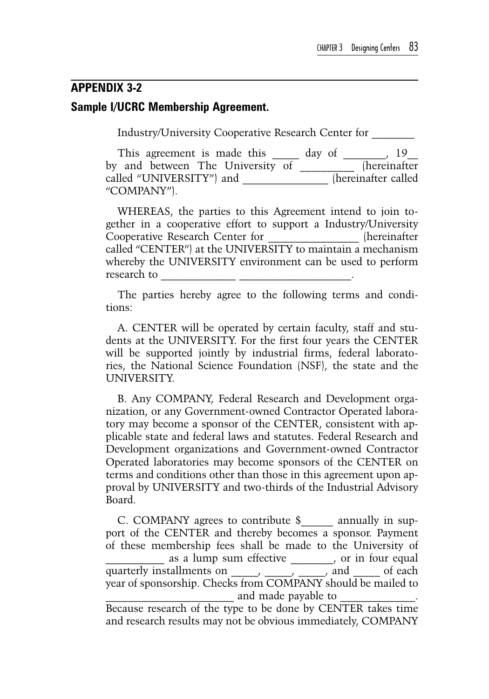# **Appendix 3-2 Sample I/UCRC Membership Agreement.**

Industry/University Cooperative Research Center for \_\_\_\_\_\_\_\_

This agreement is made this  $\frac{19}{19}$  day of  $\frac{19}{19}$ by and between The University of \_\_\_\_\_\_\_\_\_\_ (hereinafter called "UNIVERSITY") and  $\qquad$  (hereinafter called "COMPANY").

WHEREAS, the parties to this Agreement intend to join together in a cooperative effort to support a Industry/University Cooperative Research Center for called "CENTER") at the UNIVERSITY to maintain a mechanism whereby the UNIVERSITY environment can be used to perform research to

The parties hereby agree to the following terms and conditions:

A. CENTER will be operated by certain faculty, staff and students at the UNIVERSITY. For the first four years the CENTER will be supported jointly by industrial firms, federal laboratories, the National Science Foundation (NSF), the state and the UNIVERSITY.

B. Any COMPANY, Federal Research and Development organization, or any Government-owned Contractor Operated laboratory may become a sponsor of the CENTER, consistent with applicable state and federal laws and statutes. Federal Research and Development organizations and Government-owned Contractor Operated laboratories may become sponsors of the CENTER on terms and conditions other than those in this agreement upon approval by UNIVERSITY and two-thirds of the Industrial Advisory Board.

C. COMPANY agrees to contribute \$ annually in support of the CENTER and thereby becomes a sponsor. Payment of these membership fees shall be made to the University of as a lump sum effective \_\_\_\_\_\_, or in four equal quarterly installments on \_\_\_\_\_, \_\_\_\_\_, \_\_\_\_\_, and \_\_\_\_\_ of each year of sponsorship. Checks from COMPANY should be mailed to and made payable to

Because research of the type to be done by CENTER takes time and research results may not be obvious immediately, COMPANY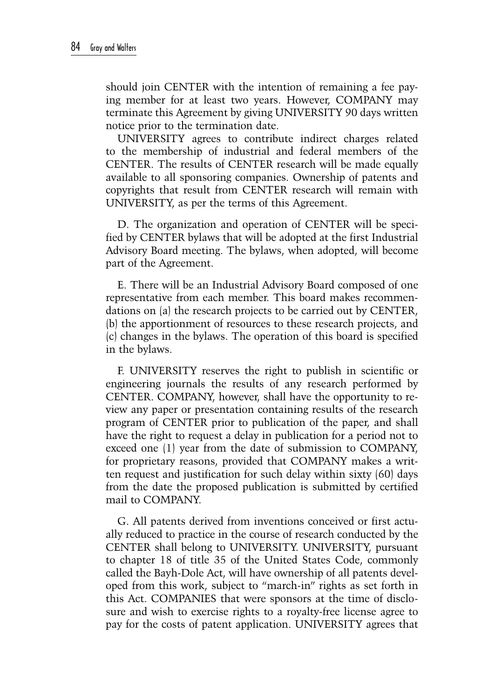should join CENTER with the intention of remaining a fee paying member for at least two years. However, COMPANY may terminate this Agreement by giving UNIVERSITY 90 days written notice prior to the termination date.

UNIVERSITY agrees to contribute indirect charges related to the membership of industrial and federal members of the CENTER. The results of CENTER research will be made equally available to all sponsoring companies. Ownership of patents and copyrights that result from CENTER research will remain with UNIVERSITY, as per the terms of this Agreement.

D. The organization and operation of CENTER will be specified by CENTER bylaws that will be adopted at the first Industrial Advisory Board meeting. The bylaws, when adopted, will become part of the Agreement.

E. There will be an Industrial Advisory Board composed of one representative from each member. This board makes recommendations on (a) the research projects to be carried out by CENTER, (b) the apportionment of resources to these research projects, and (c) changes in the bylaws. The operation of this board is specified in the bylaws.

F. UNIVERSITY reserves the right to publish in scientific or engineering journals the results of any research performed by CENTER. COMPANY, however, shall have the opportunity to review any paper or presentation containing results of the research program of CENTER prior to publication of the paper, and shall have the right to request a delay in publication for a period not to exceed one (1) year from the date of submission to COMPANY, for proprietary reasons, provided that COMPANY makes a written request and justification for such delay within sixty (60) days from the date the proposed publication is submitted by certified mail to COMPANY.

G. All patents derived from inventions conceived or first actually reduced to practice in the course of research conducted by the CENTER shall belong to UNIVERSITY. UNIVERSITY, pursuant to chapter 18 of title 35 of the United States Code, commonly called the Bayh-Dole Act, will have ownership of all patents developed from this work, subject to "march-in" rights as set forth in this Act. COMPANIES that were sponsors at the time of disclosure and wish to exercise rights to a royalty-free license agree to pay for the costs of patent application. UNIVERSITY agrees that